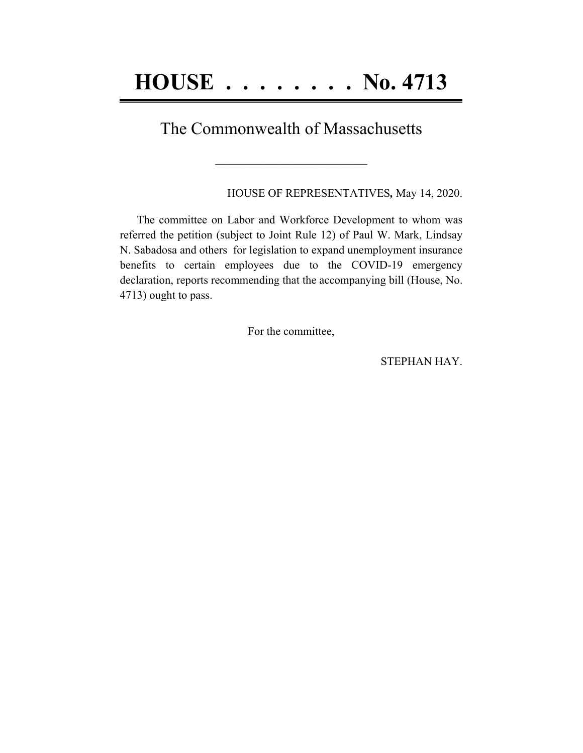## The Commonwealth of Massachusetts

**\_\_\_\_\_\_\_\_\_\_\_\_\_\_\_\_\_\_\_\_\_\_\_\_\_\_\_\_\_\_\_\_\_\_\_\_\_\_\_\_**

HOUSE OF REPRESENTATIVES*,* May 14, 2020.

The committee on Labor and Workforce Development to whom was referred the petition (subject to Joint Rule 12) of Paul W. Mark, Lindsay N. Sabadosa and others for legislation to expand unemployment insurance benefits to certain employees due to the COVID-19 emergency declaration, reports recommending that the accompanying bill (House, No. 4713) ought to pass.

For the committee,

STEPHAN HAY.